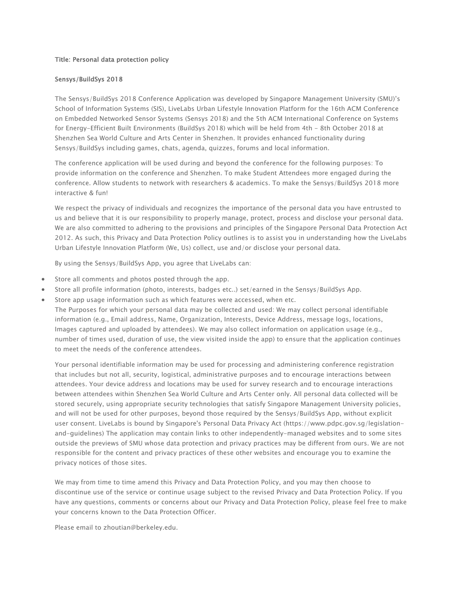## Title: Personal data protection policy

## Sensys/BuildSys 2018

The Sensys/BuildSys 2018 Conference Application was developed by Singapore Management University (SMU)'s School of Information Systems (SIS), LiveLabs Urban Lifestyle Innovation Platform for the 16th ACM Conference on Embedded Networked Sensor Systems (Sensys 2018) and the 5th ACM International Conference on Systems for Energy-Efficient Built Environments (BuildSys 2018) which will be held from 4th - 8th October 2018 at Shenzhen Sea World Culture and Arts Center in Shenzhen. It provides enhanced functionality during Sensys/BuildSys including games, chats, agenda, quizzes, forums and local information.

The conference application will be used during and beyond the conference for the following purposes: To provide information on the conference and Shenzhen. To make Student Attendees more engaged during the conference. Allow students to network with researchers & academics. To make the Sensys/BuildSys 2018 more interactive & fun!

We respect the privacy of individuals and recognizes the importance of the personal data you have entrusted to us and believe that it is our responsibility to properly manage, protect, process and disclose your personal data. We are also committed to adhering to the provisions and principles of the Singapore Personal Data Protection Act 2012. As such, this Privacy and Data Protection Policy outlines is to assist you in understanding how the LiveLabs Urban Lifestyle Innovation Platform (We, Us) collect, use and/or disclose your personal data.

By using the Sensys/BuildSys App, you agree that LiveLabs can:

- Store all comments and photos posted through the app.
- Store all profile information (photo, interests, badges etc..) set/earned in the Sensys/BuildSys App.
- Store app usage information such as which features were accessed, when etc.

The Purposes for which your personal data may be collected and used: We may collect personal identifiable information (e.g., Email address, Name, Organization, Interests, Device Address, message logs, locations, Images captured and uploaded by attendees). We may also collect information on application usage (e.g., number of times used, duration of use, the view visited inside the app) to ensure that the application continues to meet the needs of the conference attendees.

Your personal identifiable information may be used for processing and administering conference registration that includes but not all, security, logistical, administrative purposes and to encourage interactions between attendees. Your device address and locations may be used for survey research and to encourage interactions between attendees within Shenzhen Sea World Culture and Arts Center only. All personal data collected will be stored securely, using appropriate security technologies that satisfy Singapore Management University policies, and will not be used for other purposes, beyond those required by the Sensys/BuildSys App, without explicit user consent. LiveLabs is bound by Singapore's Personal Data Privacy Act (https://www.pdpc.gov.sg/legislationand-guidelines) The application may contain links to other independently-managed websites and to some sites outside the previews of SMU whose data protection and privacy practices may be different from ours. We are not responsible for the content and privacy practices of these other websites and encourage you to examine the privacy notices of those sites.

We may from time to time amend this Privacy and Data Protection Policy, and you may then choose to discontinue use of the service or continue usage subject to the revised Privacy and Data Protection Policy. If you have any questions, comments or concerns about our Privacy and Data Protection Policy, please feel free to make your concerns known to the Data Protection Officer.

Please email to zhoutian@berkeley.edu.